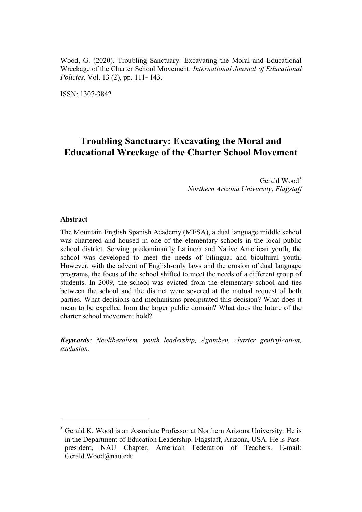Wood, G. (2020). Troubling Sanctuary: Excavating the Moral and Educational Wreckage of the Charter School Movement. *International Journal of Educational Policies.* Vol. 13 (2), pp. 111- 143.

ISSN: 1307-3842

# **Troubling Sanctuary: Excavating the Moral and Educational Wreckage of the Charter School Movement**

Gerald Wood *Northern Arizona University, Flagstaff*

#### **Abstract**

 $\overline{a}$ 

The Mountain English Spanish Academy (MESA), a dual language middle school was chartered and housed in one of the elementary schools in the local public school district. Serving predominantly Latino/a and Native American youth, the school was developed to meet the needs of bilingual and bicultural youth. However, with the advent of English-only laws and the erosion of dual language programs, the focus of the school shifted to meet the needs of a different group of students. In 2009, the school was evicted from the elementary school and ties between the school and the district were severed at the mutual request of both parties. What decisions and mechanisms precipitated this decision? What does it mean to be expelled from the larger public domain? What does the future of the charter school movement hold?

*Keywords: Neoliberalism, youth leadership, Agamben, charter gentrification, exclusion.*

Gerald K. Wood is an Associate Professor at Northern Arizona University. He is in the Department of Education Leadership. Flagstaff, Arizona, USA. He is Pastpresident, NAU Chapter, American Federation of Teachers. E-mail: Gerald.Wood@nau.edu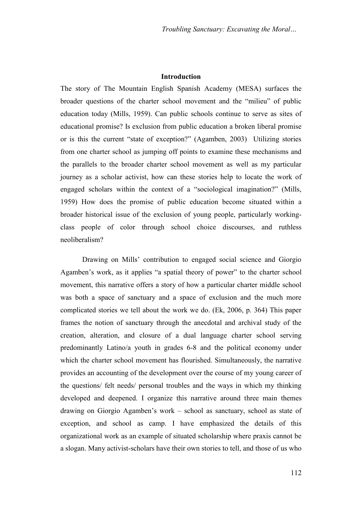## **Introduction**

The story of The Mountain English Spanish Academy (MESA) surfaces the broader questions of the charter school movement and the "milieu" of public education today (Mills, 1959). Can public schools continue to serve as sites of educational promise? Is exclusion from public education a broken liberal promise or is this the current "state of exception?" (Agamben, 2003) Utilizing stories from one charter school as jumping off points to examine these mechanisms and the parallels to the broader charter school movement as well as my particular journey as a scholar activist, how can these stories help to locate the work of engaged scholars within the context of a "sociological imagination?" (Mills, 1959) How does the promise of public education become situated within a broader historical issue of the exclusion of young people, particularly workingclass people of color through school choice discourses, and ruthless neoliberalism?

Drawing on Mills' contribution to engaged social science and Giorgio Agamben's work, as it applies "a spatial theory of power" to the charter school movement, this narrative offers a story of how a particular charter middle school was both a space of sanctuary and a space of exclusion and the much more complicated stories we tell about the work we do. (Ek, 2006, p. 364) This paper frames the notion of sanctuary through the anecdotal and archival study of the creation, alteration, and closure of a dual language charter school serving predominantly Latino/a youth in grades 6-8 and the political economy under which the charter school movement has flourished. Simultaneously, the narrative provides an accounting of the development over the course of my young career of the questions/ felt needs/ personal troubles and the ways in which my thinking developed and deepened. I organize this narrative around three main themes drawing on Giorgio Agamben's work – school as sanctuary, school as state of exception, and school as camp. I have emphasized the details of this organizational work as an example of situated scholarship where praxis cannot be a slogan. Many activist-scholars have their own stories to tell, and those of us who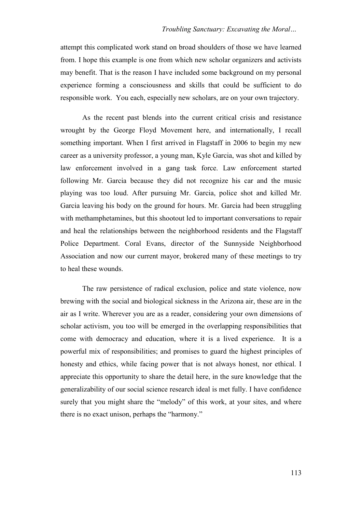attempt this complicated work stand on broad shoulders of those we have learned from. I hope this example is one from which new scholar organizers and activists may benefit. That is the reason I have included some background on my personal experience forming a consciousness and skills that could be sufficient to do responsible work. You each, especially new scholars, are on your own trajectory.

As the recent past blends into the current critical crisis and resistance wrought by the George Floyd Movement here, and internationally, I recall something important. When I first arrived in Flagstaff in 2006 to begin my new career as a university professor, a young man, Kyle Garcia, was shot and killed by law enforcement involved in a gang task force. Law enforcement started following Mr. Garcia because they did not recognize his car and the music playing was too loud. After pursuing Mr. Garcia, police shot and killed Mr. Garcia leaving his body on the ground for hours. Mr. Garcia had been struggling with methamphetamines, but this shootout led to important conversations to repair and heal the relationships between the neighborhood residents and the Flagstaff Police Department. Coral Evans, director of the Sunnyside Neighborhood Association and now our current mayor, brokered many of these meetings to try to heal these wounds.

The raw persistence of radical exclusion, police and state violence, now brewing with the social and biological sickness in the Arizona air, these are in the air as I write. Wherever you are as a reader, considering your own dimensions of scholar activism, you too will be emerged in the overlapping responsibilities that come with democracy and education, where it is a lived experience. It is a powerful mix of responsibilities; and promises to guard the highest principles of honesty and ethics, while facing power that is not always honest, nor ethical. I appreciate this opportunity to share the detail here, in the sure knowledge that the generalizability of our social science research ideal is met fully. I have confidence surely that you might share the "melody" of this work, at your sites, and where there is no exact unison, perhaps the "harmony."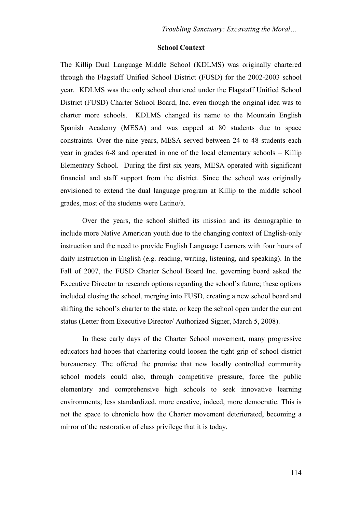## **School Context**

The Killip Dual Language Middle School (KDLMS) was originally chartered through the Flagstaff Unified School District (FUSD) for the 2002-2003 school year. KDLMS was the only school chartered under the Flagstaff Unified School District (FUSD) Charter School Board, Inc. even though the original idea was to charter more schools. KDLMS changed its name to the Mountain English Spanish Academy (MESA) and was capped at 80 students due to space constraints. Over the nine years, MESA served between 24 to 48 students each year in grades 6-8 and operated in one of the local elementary schools – Killip Elementary School. During the first six years, MESA operated with significant financial and staff support from the district. Since the school was originally envisioned to extend the dual language program at Killip to the middle school grades, most of the students were Latino/a.

Over the years, the school shifted its mission and its demographic to include more Native American youth due to the changing context of English-only instruction and the need to provide English Language Learners with four hours of daily instruction in English (e.g. reading, writing, listening, and speaking). In the Fall of 2007, the FUSD Charter School Board Inc. governing board asked the Executive Director to research options regarding the school's future; these options included closing the school, merging into FUSD, creating a new school board and shifting the school's charter to the state, or keep the school open under the current status (Letter from Executive Director/ Authorized Signer, March 5, 2008).

In these early days of the Charter School movement, many progressive educators had hopes that chartering could loosen the tight grip of school district bureaucracy. The offered the promise that new locally controlled community school models could also, through competitive pressure, force the public elementary and comprehensive high schools to seek innovative learning environments; less standardized, more creative, indeed, more democratic. This is not the space to chronicle how the Charter movement deteriorated, becoming a mirror of the restoration of class privilege that it is today.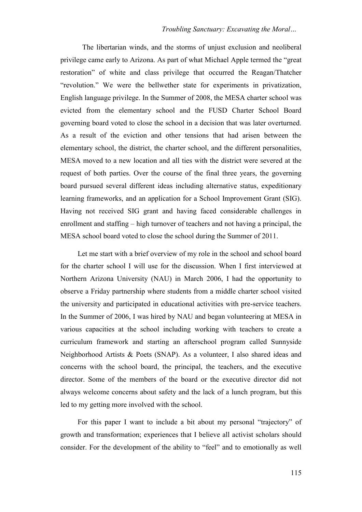## *Troubling Sanctuary: Excavating the Moral…*

The libertarian winds, and the storms of unjust exclusion and neoliberal privilege came early to Arizona. As part of what Michael Apple termed the "great" restoration" of white and class privilege that occurred the Reagan/Thatcher "revolution." We were the bellwether state for experiments in privatization, English language privilege. In the Summer of 2008, the MESA charter school was evicted from the elementary school and the FUSD Charter School Board governing board voted to close the school in a decision that was later overturned. As a result of the eviction and other tensions that had arisen between the elementary school, the district, the charter school, and the different personalities, MESA moved to a new location and all ties with the district were severed at the request of both parties. Over the course of the final three years, the governing board pursued several different ideas including alternative status, expeditionary learning frameworks, and an application for a School Improvement Grant (SIG). Having not received SIG grant and having faced considerable challenges in enrollment and staffing – high turnover of teachers and not having a principal, the MESA school board voted to close the school during the Summer of 2011.

Let me start with a brief overview of my role in the school and school board for the charter school I will use for the discussion. When I first interviewed at Northern Arizona University (NAU) in March 2006, I had the opportunity to observe a Friday partnership where students from a middle charter school visited the university and participated in educational activities with pre-service teachers. In the Summer of 2006, I was hired by NAU and began volunteering at MESA in various capacities at the school including working with teachers to create a curriculum framework and starting an afterschool program called Sunnyside Neighborhood Artists & Poets (SNAP). As a volunteer, I also shared ideas and concerns with the school board, the principal, the teachers, and the executive director. Some of the members of the board or the executive director did not always welcome concerns about safety and the lack of a lunch program, but this led to my getting more involved with the school.

For this paper I want to include a bit about my personal "trajectory" of growth and transformation; experiences that I believe all activist scholars should consider. For the development of the ability to "feel" and to emotionally as well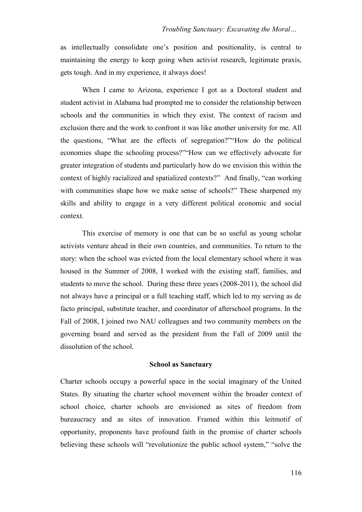as intellectually consolidate one's position and positionality, is central to maintaining the energy to keep going when activist research, legitimate praxis, gets tough. And in my experience, it always does!

When I came to Arizona, experience I got as a Doctoral student and student activist in Alabama had prompted me to consider the relationship between schools and the communities in which they exist. The context of racism and exclusion there and the work to confront it was like another university for me. All the questions, "What are the effects of segregation?" How do the political economies shape the schooling process?" How can we effectively advocate for greater integration of students and particularly how do we envision this within the context of highly racialized and spatialized contexts?" And finally, "can working with communities shape how we make sense of schools?" These sharpened my skills and ability to engage in a very different political economic and social context.

This exercise of memory is one that can be so useful as young scholar activists venture ahead in their own countries, and communities. To return to the story: when the school was evicted from the local elementary school where it was housed in the Summer of 2008, I worked with the existing staff, families, and students to move the school. During these three years (2008-2011), the school did not always have a principal or a full teaching staff, which led to my serving as de facto principal, substitute teacher, and coordinator of afterschool programs. In the Fall of 2008, I joined two NAU colleagues and two community members on the governing board and served as the president from the Fall of 2009 until the dissolution of the school.

#### **School as Sanctuary**

Charter schools occupy a powerful space in the social imaginary of the United States. By situating the charter school movement within the broader context of school choice, charter schools are envisioned as sites of freedom from bureaucracy and as sites of innovation. Framed within this leitmotif of opportunity, proponents have profound faith in the promise of charter schools believing these schools will "revolutionize the public school system," "solve the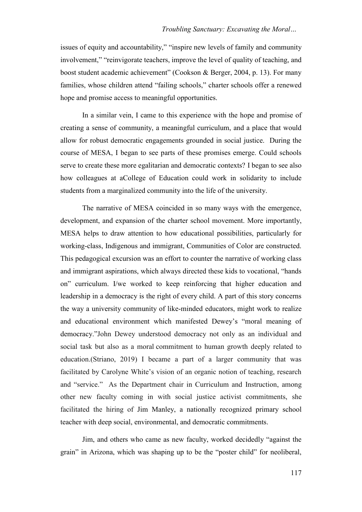issues of equity and accountability," "inspire new levels of family and community involvement," "reinvigorate teachers, improve the level of quality of teaching, and boost student academic achievement" (Cookson & Berger, 2004, p. 13). For many families, whose children attend "failing schools," charter schools offer a renewed hope and promise access to meaningful opportunities.

In a similar vein, I came to this experience with the hope and promise of creating a sense of community, a meaningful curriculum, and a place that would allow for robust democratic engagements grounded in social justice. During the course of MESA, I began to see parts of these promises emerge. Could schools serve to create these more egalitarian and democratic contexts? I began to see also how colleagues at aCollege of Education could work in solidarity to include students from a marginalized community into the life of the university.

The narrative of MESA coincided in so many ways with the emergence, development, and expansion of the charter school movement. More importantly, MESA helps to draw attention to how educational possibilities, particularly for working-class, Indigenous and immigrant, Communities of Color are constructed. This pedagogical excursion was an effort to counter the narrative of working class and immigrant aspirations, which always directed these kids to vocational, "hands on" curriculum. I/we worked to keep reinforcing that higher education and leadership in a democracy is the right of every child. A part of this story concerns the way a university community of like-minded educators, might work to realize and educational environment which manifested Dewey's "moral meaning of democracy."John Dewey understood democracy not only as an individual and social task but also as a moral commitment to human growth deeply related to education.(Striano, 2019) I became a part of a larger community that was facilitated by Carolyne White's vision of an organic notion of teaching, research and "service." As the Department chair in Curriculum and Instruction, among other new faculty coming in with social justice activist commitments, she facilitated the hiring of Jim Manley, a nationally recognized primary school teacher with deep social, environmental, and democratic commitments.

Jim, and others who came as new faculty, worked decidedly "against the grain" in Arizona, which was shaping up to be the "poster child" for neoliberal,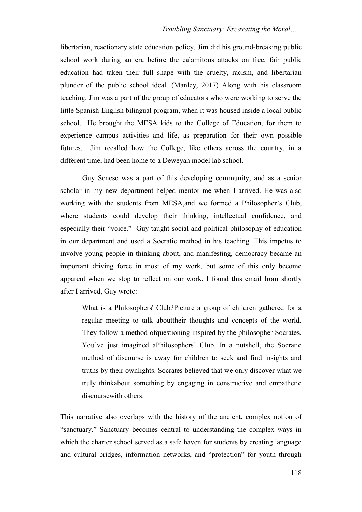libertarian, reactionary state education policy. Jim did his ground-breaking public school work during an era before the calamitous attacks on free, fair public education had taken their full shape with the cruelty, racism, and libertarian plunder of the public school ideal. (Manley, 2017) Along with his classroom teaching, Jim was a part of the group of educators who were working to serve the little Spanish-English bilingual program, when it was housed inside a local public school. He brought the MESA kids to the College of Education, for them to experience campus activities and life, as preparation for their own possible futures. Jim recalled how the College, like others across the country, in a different time, had been home to a Deweyan model lab school.

Guy Senese was a part of this developing community, and as a senior scholar in my new department helped mentor me when I arrived. He was also working with the students from MESA,and we formed a Philosopher's Club, where students could develop their thinking, intellectual confidence, and especially their "voice." Guy taught social and political philosophy of education in our department and used a Socratic method in his teaching. This impetus to involve young people in thinking about, and manifesting, democracy became an important driving force in most of my work, but some of this only become apparent when we stop to reflect on our work. I found this email from shortly after I arrived, Guy wrote:

What is a Philosophers' Club?Picture a group of children gathered for a regular meeting to talk abouttheir thoughts and concepts of the world. They follow a method ofquestioning inspired by the philosopher Socrates. You've just imagined aPhilosophers' Club. In a nutshell, the Socratic method of discourse is away for children to seek and find insights and truths by their ownlights. Socrates believed that we only discover what we truly thinkabout something by engaging in constructive and empathetic discoursewith others.

This narrative also overlaps with the history of the ancient, complex notion of "sanctuary." Sanctuary becomes central to understanding the complex ways in which the charter school served as a safe haven for students by creating language and cultural bridges, information networks, and "protection" for youth through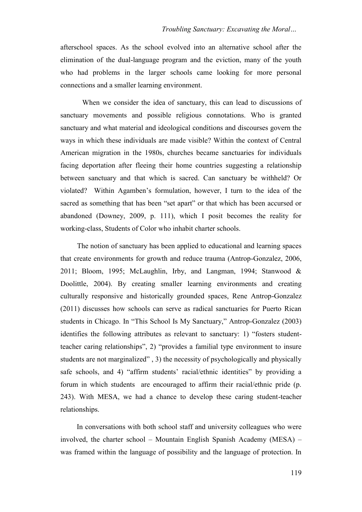afterschool spaces. As the school evolved into an alternative school after the elimination of the dual-language program and the eviction, many of the youth who had problems in the larger schools came looking for more personal connections and a smaller learning environment.

When we consider the idea of sanctuary, this can lead to discussions of sanctuary movements and possible religious connotations. Who is granted sanctuary and what material and ideological conditions and discourses govern the ways in which these individuals are made visible? Within the context of Central American migration in the 1980s, churches became sanctuaries for individuals facing deportation after fleeing their home countries suggesting a relationship between sanctuary and that which is sacred. Can sanctuary be withheld? Or violated? Within Agamben's formulation, however, I turn to the idea of the sacred as something that has been "set apart" or that which has been accursed or abandoned (Downey, 2009, p. 111), which I posit becomes the reality for working-class, Students of Color who inhabit charter schools.

The notion of sanctuary has been applied to educational and learning spaces that create environments for growth and reduce trauma (Antrop-Gonzalez, 2006, 2011; Bloom, 1995; McLaughlin, Irby, and Langman, 1994; Stanwood & Doolittle, 2004). By creating smaller learning environments and creating culturally responsive and historically grounded spaces, Rene Antrop-Gonzalez (2011) discusses how schools can serve as radical sanctuaries for Puerto Rican students in Chicago. In "This School Is My Sanctuary," Antrop-Gonzalez (2003) identifies the following attributes as relevant to sanctuary: 1) "fosters studentteacher caring relationships", 2) "provides a familial type environment to insure students are not marginalized", 3) the necessity of psychologically and physically safe schools, and 4) "affirm students' racial/ethnic identities" by providing a forum in which students are encouraged to affirm their racial/ethnic pride (p. 243). With MESA, we had a chance to develop these caring student-teacher relationships.

In conversations with both school staff and university colleagues who were involved, the charter school – Mountain English Spanish Academy (MESA) – was framed within the language of possibility and the language of protection. In

119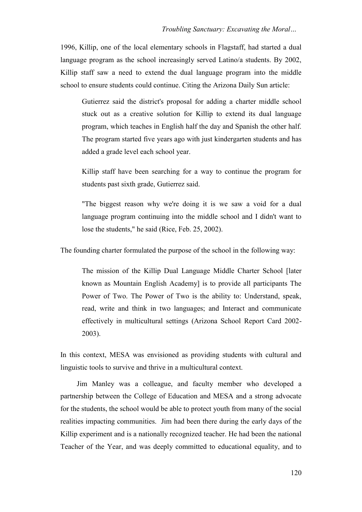1996, Killip, one of the local elementary schools in Flagstaff, had started a dual language program as the school increasingly served Latino/a students. By 2002, Killip staff saw a need to extend the dual language program into the middle school to ensure students could continue. Citing the Arizona Daily Sun article:

Gutierrez said the district's proposal for adding a charter middle school stuck out as a creative solution for Killip to extend its dual language program, which teaches in English half the day and Spanish the other half. The program started five years ago with just kindergarten students and has added a grade level each school year.

Killip staff have been searching for a way to continue the program for students past sixth grade, Gutierrez said.

"The biggest reason why we're doing it is we saw a void for a dual language program continuing into the middle school and I didn't want to lose the students," he said (Rice, Feb. 25, 2002).

The founding charter formulated the purpose of the school in the following way:

The mission of the Killip Dual Language Middle Charter School [later known as Mountain English Academy] is to provide all participants The Power of Two. The Power of Two is the ability to: Understand, speak, read, write and think in two languages; and Interact and communicate effectively in multicultural settings (Arizona School Report Card 2002- 2003).

In this context, MESA was envisioned as providing students with cultural and linguistic tools to survive and thrive in a multicultural context.

Jim Manley was a colleague, and faculty member who developed a partnership between the College of Education and MESA and a strong advocate for the students, the school would be able to protect youth from many of the social realities impacting communities. Jim had been there during the early days of the Killip experiment and is a nationally recognized teacher. He had been the national Teacher of the Year, and was deeply committed to educational equality, and to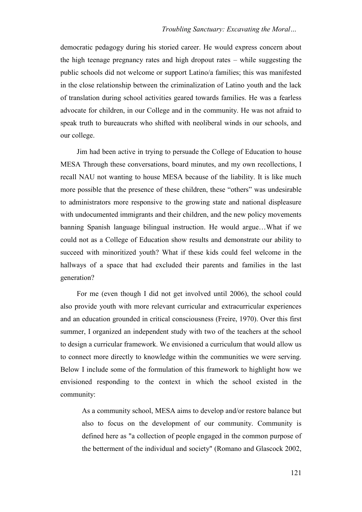democratic pedagogy during his storied career. He would express concern about the high teenage pregnancy rates and high dropout rates – while suggesting the public schools did not welcome or support Latino/a families; this was manifested in the close relationship between the criminalization of Latino youth and the lack of translation during school activities geared towards families. He was a fearless advocate for children, in our College and in the community. He was not afraid to speak truth to bureaucrats who shifted with neoliberal winds in our schools, and our college.

Jim had been active in trying to persuade the College of Education to house MESA Through these conversations, board minutes, and my own recollections, I recall NAU not wanting to house MESA because of the liability. It is like much more possible that the presence of these children, these "others" was undesirable to administrators more responsive to the growing state and national displeasure with undocumented immigrants and their children, and the new policy movements banning Spanish language bilingual instruction. He would argue…What if we could not as a College of Education show results and demonstrate our ability to succeed with minoritized youth? What if these kids could feel welcome in the hallways of a space that had excluded their parents and families in the last generation?

For me (even though I did not get involved until 2006), the school could also provide youth with more relevant curricular and extracurricular experiences and an education grounded in critical consciousness (Freire, 1970). Over this first summer, I organized an independent study with two of the teachers at the school to design a curricular framework. We envisioned a curriculum that would allow us to connect more directly to knowledge within the communities we were serving. Below I include some of the formulation of this framework to highlight how we envisioned responding to the context in which the school existed in the community:

As a community school, MESA aims to develop and/or restore balance but also to focus on the development of our community. Community is defined here as "a collection of people engaged in the common purpose of the betterment of the individual and society" (Romano and Glascock 2002,

121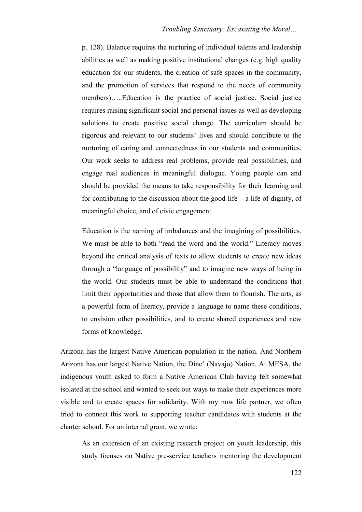p. 128). Balance requires the nurturing of individual talents and leadership abilities as well as making positive institutional changes (e.g. high quality education for our students, the creation of safe spaces in the community, and the promotion of services that respond to the needs of community members)…..Education is the practice of social justice. Social justice requires raising significant social and personal issues as well as developing solutions to create positive social change. The curriculum should be rigorous and relevant to our students' lives and should contribute to the nurturing of caring and connectedness in our students and communities. Our work seeks to address real problems, provide real possibilities, and engage real audiences in meaningful dialogue. Young people can and should be provided the means to take responsibility for their learning and for contributing to the discussion about the good life – a life of dignity, of meaningful choice, and of civic engagement.

Education is the naming of imbalances and the imagining of possibilities. We must be able to both "read the word and the world." Literacy moves beyond the critical analysis of texts to allow students to create new ideas through a "language of possibility" and to imagine new ways of being in the world. Our students must be able to understand the conditions that limit their opportunities and those that allow them to flourish. The arts, as a powerful form of literacy, provide a language to name these conditions, to envision other possibilities, and to create shared experiences and new forms of knowledge.

Arizona has the largest Native American population in the nation. And Northern Arizona has our largest Native Nation, the Dine' (Navajo) Nation. At MESA, the indigenous youth asked to form a Native American Club having felt somewhat isolated at the school and wanted to seek out ways to make their experiences more visible and to create spaces for solidarity. With my now life partner, we often tried to connect this work to supporting teacher candidates with students at the charter school. For an internal grant, we wrote:

As an extension of an existing research project on youth leadership, this study focuses on Native pre-service teachers mentoring the development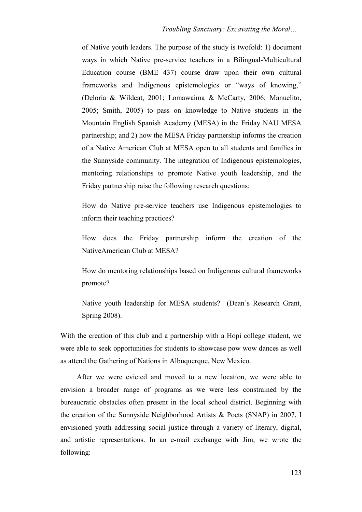of Native youth leaders. The purpose of the study is twofold: 1) document ways in which Native pre-service teachers in a Bilingual-Multicultural Education course (BME 437) course draw upon their own cultural frameworks and Indigenous epistemologies or "ways of knowing," (Deloria & Wildcat, 2001; Lomawaima & McCarty, 2006; Manuelito, 2005; Smith, 2005) to pass on knowledge to Native students in the Mountain English Spanish Academy (MESA) in the Friday NAU MESA partnership; and 2) how the MESA Friday partnership informs the creation of a Native American Club at MESA open to all students and families in the Sunnyside community. The integration of Indigenous epistemologies, mentoring relationships to promote Native youth leadership, and the Friday partnership raise the following research questions:

How do Native pre-service teachers use Indigenous epistemologies to inform their teaching practices?

How does the Friday partnership inform the creation of the NativeAmerican Club at MESA?

How do mentoring relationships based on Indigenous cultural frameworks promote?

Native youth leadership for MESA students? (Dean's Research Grant, Spring 2008).

With the creation of this club and a partnership with a Hopi college student, we were able to seek opportunities for students to showcase pow wow dances as well as attend the Gathering of Nations in Albuquerque, New Mexico.

After we were evicted and moved to a new location, we were able to envision a broader range of programs as we were less constrained by the bureaucratic obstacles often present in the local school district. Beginning with the creation of the Sunnyside Neighborhood Artists & Poets (SNAP) in 2007, I envisioned youth addressing social justice through a variety of literary, digital, and artistic representations. In an e-mail exchange with Jim, we wrote the following: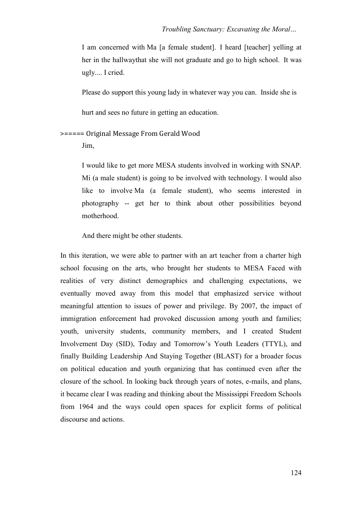I am concerned with Ma [a female student]. I heard [teacher] yelling at her in the hallwaythat she will not graduate and go to high school. It was ugly.... I cried.

Please do support this young lady in whatever way you can. Inside she is

hurt and sees no future in getting an education.

>===== Original Message From Gerald Wood

Jim,

I would like to get more MESA students involved in working with SNAP. Mi (a male student) is going to be involved with technology. I would also like to involve Ma (a female student), who seems interested in photography -- get her to think about other possibilities beyond motherhood.

And there might be other students.

In this iteration, we were able to partner with an art teacher from a charter high school focusing on the arts, who brought her students to MESA Faced with realities of very distinct demographics and challenging expectations, we eventually moved away from this model that emphasized service without meaningful attention to issues of power and privilege. By 2007, the impact of immigration enforcement had provoked discussion among youth and families; youth, university students, community members, and I created Student Involvement Day (SID), Today and Tomorrow's Youth Leaders (TTYL), and finally Building Leadership And Staying Together (BLAST) for a broader focus on political education and youth organizing that has continued even after the closure of the school. In looking back through years of notes, e-mails, and plans, it became clear I was reading and thinking about the Mississippi Freedom Schools from 1964 and the ways could open spaces for explicit forms of political discourse and actions.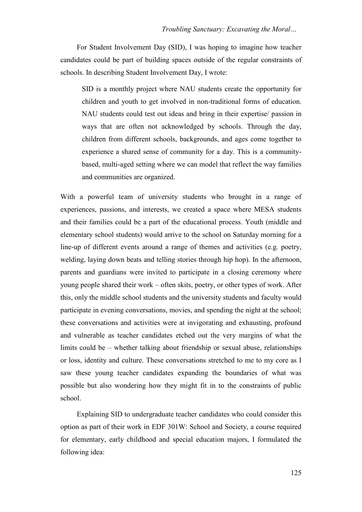For Student Involvement Day (SID), I was hoping to imagine how teacher candidates could be part of building spaces outside of the regular constraints of schools. In describing Student Involvement Day, I wrote:

SID is a monthly project where NAU students create the opportunity for children and youth to get involved in non-traditional forms of education. NAU students could test out ideas and bring in their expertise/ passion in ways that are often not acknowledged by schools. Through the day, children from different schools, backgrounds, and ages come together to experience a shared sense of community for a day. This is a communitybased, multi-aged setting where we can model that reflect the way families and communities are organized.

With a powerful team of university students who brought in a range of experiences, passions, and interests, we created a space where MESA students and their families could be a part of the educational process. Youth (middle and elementary school students) would arrive to the school on Saturday morning for a line-up of different events around a range of themes and activities (e.g. poetry, welding, laying down beats and telling stories through hip hop). In the afternoon, parents and guardians were invited to participate in a closing ceremony where young people shared their work – often skits, poetry, or other types of work. After this, only the middle school students and the university students and faculty would participate in evening conversations, movies, and spending the night at the school; these conversations and activities were at invigorating and exhausting, profound and vulnerable as teacher candidates etched out the very margins of what the limits could be – whether talking about friendship or sexual abuse, relationships or loss, identity and culture. These conversations stretched to me to my core as I saw these young teacher candidates expanding the boundaries of what was possible but also wondering how they might fit in to the constraints of public school.

Explaining SID to undergraduate teacher candidates who could consider this option as part of their work in EDF 301W: School and Society, a course required for elementary, early childhood and special education majors, I formulated the following idea: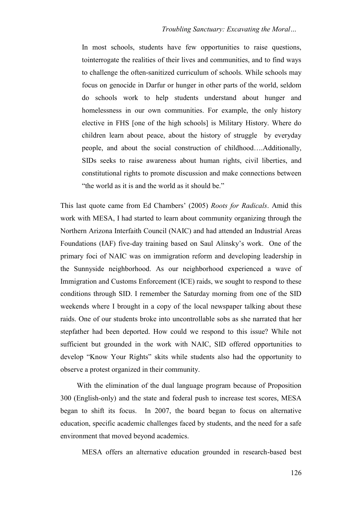In most schools, students have few opportunities to raise questions, tointerrogate the realities of their lives and communities, and to find ways to challenge the often-sanitized curriculum of schools. While schools may focus on genocide in Darfur or hunger in other parts of the world, seldom do schools work to help students understand about hunger and homelessness in our own communities. For example, the only history elective in FHS [one of the high schools] is Military History. Where do children learn about peace, about the history of struggle by everyday people, and about the social construction of childhood….Additionally, SIDs seeks to raise awareness about human rights, civil liberties, and constitutional rights to promote discussion and make connections between "the world as it is and the world as it should be."

This last quote came from Ed Chambers' (2005) *Roots for Radicals*. Amid this work with MESA, I had started to learn about community organizing through the Northern Arizona Interfaith Council (NAIC) and had attended an Industrial Areas Foundations (IAF) five-day training based on Saul Alinsky's work. One of the primary foci of NAIC was on immigration reform and developing leadership in the Sunnyside neighborhood. As our neighborhood experienced a wave of Immigration and Customs Enforcement (ICE) raids, we sought to respond to these conditions through SID. I remember the Saturday morning from one of the SID weekends where I brought in a copy of the local newspaper talking about these raids. One of our students broke into uncontrollable sobs as she narrated that her stepfather had been deported. How could we respond to this issue? While not sufficient but grounded in the work with NAIC, SID offered opportunities to develop "Know Your Rights" skits while students also had the opportunity to observe a protest organized in their community.

With the elimination of the dual language program because of Proposition 300 (English-only) and the state and federal push to increase test scores, MESA began to shift its focus. In 2007, the board began to focus on alternative education, specific academic challenges faced by students, and the need for a safe environment that moved beyond academics.

MESA offers an alternative education grounded in research-based best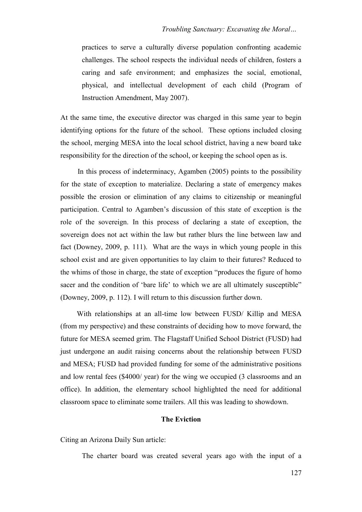practices to serve a culturally diverse population confronting academic challenges. The school respects the individual needs of children, fosters a caring and safe environment; and emphasizes the social, emotional, physical, and intellectual development of each child (Program of Instruction Amendment, May 2007).

At the same time, the executive director was charged in this same year to begin identifying options for the future of the school. These options included closing the school, merging MESA into the local school district, having a new board take responsibility for the direction of the school, or keeping the school open as is.

In this process of indeterminacy, Agamben (2005) points to the possibility for the state of exception to materialize. Declaring a state of emergency makes possible the erosion or elimination of any claims to citizenship or meaningful participation. Central to Agamben's discussion of this state of exception is the role of the sovereign. In this process of declaring a state of exception, the sovereign does not act within the law but rather blurs the line between law and fact (Downey, 2009, p. 111). What are the ways in which young people in this school exist and are given opportunities to lay claim to their futures? Reduced to the whims of those in charge, the state of exception "produces the figure of homo sacer and the condition of 'bare life' to which we are all ultimately susceptible" (Downey, 2009, p. 112). I will return to this discussion further down.

With relationships at an all-time low between FUSD/ Killip and MESA (from my perspective) and these constraints of deciding how to move forward, the future for MESA seemed grim. The Flagstaff Unified School District (FUSD) had just undergone an audit raising concerns about the relationship between FUSD and MESA; FUSD had provided funding for some of the administrative positions and low rental fees (\$4000/ year) for the wing we occupied (3 classrooms and an office). In addition, the elementary school highlighted the need for additional classroom space to eliminate some trailers. All this was leading to showdown.

## **The Eviction**

Citing an Arizona Daily Sun article:

The charter board was created several years ago with the input of a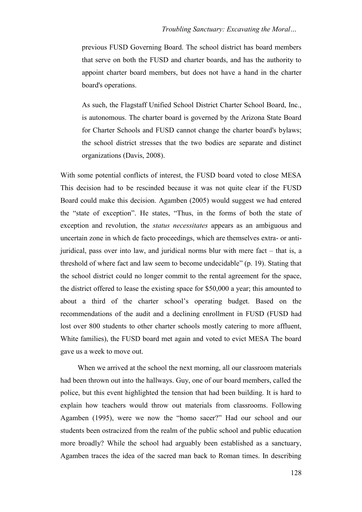previous FUSD Governing Board. The school district has board members that serve on both the FUSD and charter boards, and has the authority to appoint charter board members, but does not have a hand in the charter board's operations.

As such, the Flagstaff Unified School District Charter School Board, Inc., is autonomous. The charter board is governed by the Arizona State Board for Charter Schools and FUSD cannot change the charter board's bylaws; the school district stresses that the two bodies are separate and distinct organizations (Davis, 2008).

With some potential conflicts of interest, the FUSD board voted to close MESA This decision had to be rescinded because it was not quite clear if the FUSD Board could make this decision. Agamben (2005) would suggest we had entered the "state of exception". He states, "Thus, in the forms of both the state of exception and revolution, the *status necessitates* appears as an ambiguous and uncertain zone in which de facto proceedings, which are themselves extra- or antijuridical, pass over into law, and juridical norms blur with mere fact – that is, a threshold of where fact and law seem to become undecidable" (p. 19). Stating that the school district could no longer commit to the rental agreement for the space, the district offered to lease the existing space for \$50,000 a year; this amounted to about a third of the charter school's operating budget. Based on the recommendations of the audit and a declining enrollment in FUSD (FUSD had lost over 800 students to other charter schools mostly catering to more affluent, White families), the FUSD board met again and voted to evict MESA The board gave us a week to move out.

When we arrived at the school the next morning, all our classroom materials had been thrown out into the hallways. Guy, one of our board members, called the police, but this event highlighted the tension that had been building. It is hard to explain how teachers would throw out materials from classrooms. Following Agamben (1995), were we now the "homo sacer?" Had our school and our students been ostracized from the realm of the public school and public education more broadly? While the school had arguably been established as a sanctuary, Agamben traces the idea of the sacred man back to Roman times. In describing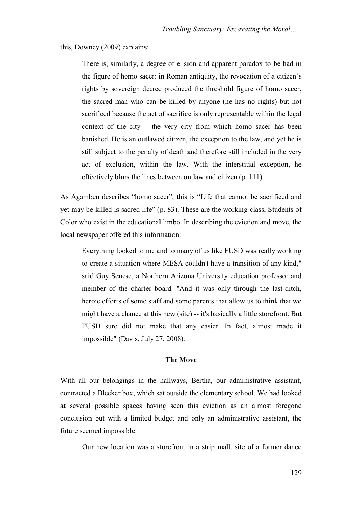## this, Downey (2009) explains:

There is, similarly, a degree of elision and apparent paradox to be had in the figure of homo sacer: in Roman antiquity, the revocation of a citizen's rights by sovereign decree produced the threshold figure of homo sacer, the sacred man who can be killed by anyone (he has no rights) but not sacrificed because the act of sacrifice is only representable within the legal context of the city – the very city from which homo sacer has been banished. He is an outlawed citizen, the exception to the law, and yet he is still subject to the penalty of death and therefore still included in the very act of exclusion, within the law. With the interstitial exception, he effectively blurs the lines between outlaw and citizen (p. 111).

As Agamben describes "homo sacer", this is "Life that cannot be sacrificed and yet may be killed is sacred life" (p. 83). These are the working-class, Students of Color who exist in the educational limbo. In describing the eviction and move, the local newspaper offered this information:

Everything looked to me and to many of us like FUSD was really working to create a situation where MESA couldn't have a transition of any kind," said Guy Senese, a Northern Arizona University education professor and member of the charter board. "And it was only through the last-ditch, heroic efforts of some staff and some parents that allow us to think that we might have a chance at this new (site) -- it's basically a little storefront. But FUSD sure did not make that any easier. In fact, almost made it impossible" (Davis, July 27, 2008).

#### **The Move**

With all our belongings in the hallways, Bertha, our administrative assistant, contracted a Bleeker box, which sat outside the elementary school. We had looked at several possible spaces having seen this eviction as an almost foregone conclusion but with a limited budget and only an administrative assistant, the future seemed impossible.

Our new location was a storefront in a strip mall, site of a former dance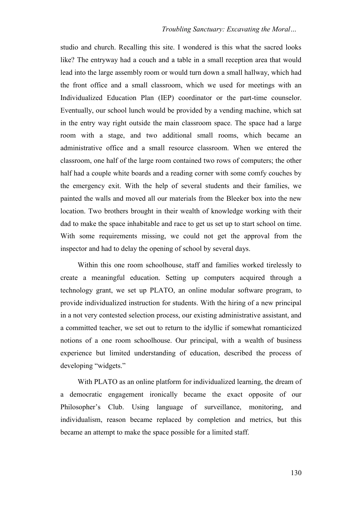## *Troubling Sanctuary: Excavating the Moral…*

studio and church. Recalling this site. I wondered is this what the sacred looks like? The entryway had a couch and a table in a small reception area that would lead into the large assembly room or would turn down a small hallway, which had the front office and a small classroom, which we used for meetings with an Individualized Education Plan (IEP) coordinator or the part-time counselor. Eventually, our school lunch would be provided by a vending machine, which sat in the entry way right outside the main classroom space. The space had a large room with a stage, and two additional small rooms, which became an administrative office and a small resource classroom. When we entered the classroom, one half of the large room contained two rows of computers; the other half had a couple white boards and a reading corner with some comfy couches by the emergency exit. With the help of several students and their families, we painted the walls and moved all our materials from the Bleeker box into the new location. Two brothers brought in their wealth of knowledge working with their dad to make the space inhabitable and race to get us set up to start school on time. With some requirements missing, we could not get the approval from the inspector and had to delay the opening of school by several days.

Within this one room schoolhouse, staff and families worked tirelessly to create a meaningful education. Setting up computers acquired through a technology grant, we set up PLATO, an online modular software program, to provide individualized instruction for students. With the hiring of a new principal in a not very contested selection process, our existing administrative assistant, and a committed teacher, we set out to return to the idyllic if somewhat romanticized notions of a one room schoolhouse. Our principal, with a wealth of business experience but limited understanding of education, described the process of developing "widgets."

With PLATO as an online platform for individualized learning, the dream of a democratic engagement ironically became the exact opposite of our Philosopher's Club. Using language of surveillance, monitoring, and individualism, reason became replaced by completion and metrics, but this became an attempt to make the space possible for a limited staff.

130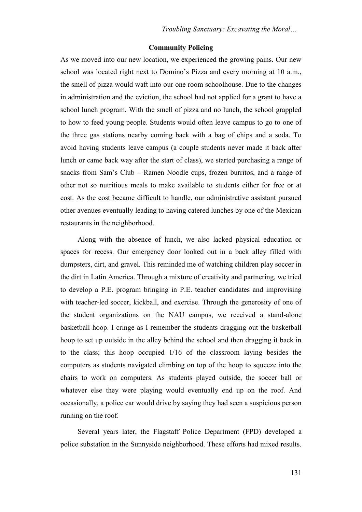## **Community Policing**

As we moved into our new location, we experienced the growing pains. Our new school was located right next to Domino's Pizza and every morning at 10 a.m., the smell of pizza would waft into our one room schoolhouse. Due to the changes in administration and the eviction, the school had not applied for a grant to have a school lunch program. With the smell of pizza and no lunch, the school grappled to how to feed young people. Students would often leave campus to go to one of the three gas stations nearby coming back with a bag of chips and a soda. To avoid having students leave campus (a couple students never made it back after lunch or came back way after the start of class), we started purchasing a range of snacks from Sam's Club – Ramen Noodle cups, frozen burritos, and a range of other not so nutritious meals to make available to students either for free or at cost. As the cost became difficult to handle, our administrative assistant pursued other avenues eventually leading to having catered lunches by one of the Mexican restaurants in the neighborhood.

Along with the absence of lunch, we also lacked physical education or spaces for recess. Our emergency door looked out in a back alley filled with dumpsters, dirt, and gravel. This reminded me of watching children play soccer in the dirt in Latin America. Through a mixture of creativity and partnering, we tried to develop a P.E. program bringing in P.E. teacher candidates and improvising with teacher-led soccer, kickball, and exercise. Through the generosity of one of the student organizations on the NAU campus, we received a stand-alone basketball hoop. I cringe as I remember the students dragging out the basketball hoop to set up outside in the alley behind the school and then dragging it back in to the class; this hoop occupied 1/16 of the classroom laying besides the computers as students navigated climbing on top of the hoop to squeeze into the chairs to work on computers. As students played outside, the soccer ball or whatever else they were playing would eventually end up on the roof. And occasionally, a police car would drive by saying they had seen a suspicious person running on the roof.

Several years later, the Flagstaff Police Department (FPD) developed a police substation in the Sunnyside neighborhood. These efforts had mixed results.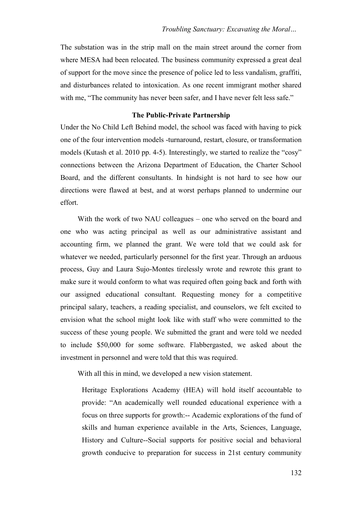The substation was in the strip mall on the main street around the corner from where MESA had been relocated. The business community expressed a great deal of support for the move since the presence of police led to less vandalism, graffiti, and disturbances related to intoxication. As one recent immigrant mother shared with me, "The community has never been safer, and I have never felt less safe."

## **The Public-Private Partnership**

Under the No Child Left Behind model, the school was faced with having to pick one of the four intervention models -turnaround, restart, closure, or transformation models (Kutash et al. 2010 pp. 4-5). Interestingly, we started to realize the "cosy" connections between the Arizona Department of Education, the Charter School Board, and the different consultants. In hindsight is not hard to see how our directions were flawed at best, and at worst perhaps planned to undermine our effort.

With the work of two NAU colleagues – one who served on the board and one who was acting principal as well as our administrative assistant and accounting firm, we planned the grant. We were told that we could ask for whatever we needed, particularly personnel for the first year. Through an arduous process, Guy and Laura Sujo-Montes tirelessly wrote and rewrote this grant to make sure it would conform to what was required often going back and forth with our assigned educational consultant. Requesting money for a competitive principal salary, teachers, a reading specialist, and counselors, we felt excited to envision what the school might look like with staff who were committed to the success of these young people. We submitted the grant and were told we needed to include \$50,000 for some software. Flabbergasted, we asked about the investment in personnel and were told that this was required.

With all this in mind, we developed a new vision statement.

Heritage Explorations Academy (HEA) will hold itself accountable to provide: "An academically well rounded educational experience with a focus on three supports for growth:-- Academic explorations of the fund of skills and human experience available in the Arts, Sciences, Language, History and Culture--Social supports for positive social and behavioral growth conducive to preparation for success in 21st century community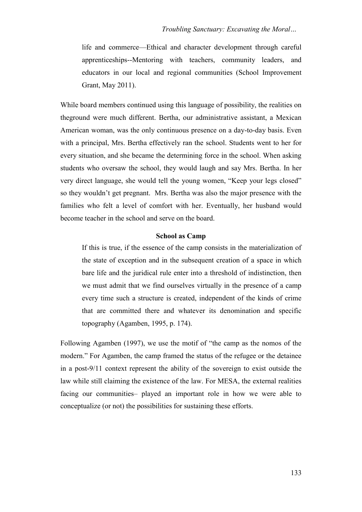life and commerce—Ethical and character development through careful apprenticeships--Mentoring with teachers, community leaders, and educators in our local and regional communities (School Improvement Grant, May 2011).

While board members continued using this language of possibility, the realities on theground were much different. Bertha, our administrative assistant, a Mexican American woman, was the only continuous presence on a day-to-day basis. Even with a principal, Mrs. Bertha effectively ran the school. Students went to her for every situation, and she became the determining force in the school. When asking students who oversaw the school, they would laugh and say Mrs. Bertha. In her very direct language, she would tell the young women, "Keep your legs closed" so they wouldn't get pregnant. Mrs. Bertha was also the major presence with the families who felt a level of comfort with her. Eventually, her husband would become teacher in the school and serve on the board.

## **School as Camp**

If this is true, if the essence of the camp consists in the materialization of the state of exception and in the subsequent creation of a space in which bare life and the juridical rule enter into a threshold of indistinction, then we must admit that we find ourselves virtually in the presence of a camp every time such a structure is created, independent of the kinds of crime that are committed there and whatever its denomination and specific topography (Agamben, 1995, p. 174).

Following Agamben (1997), we use the motif of "the camp as the nomos of the modern." For Agamben, the camp framed the status of the refugee or the detainee in a post-9/11 context represent the ability of the sovereign to exist outside the law while still claiming the existence of the law. For MESA, the external realities facing our communities– played an important role in how we were able to conceptualize (or not) the possibilities for sustaining these efforts.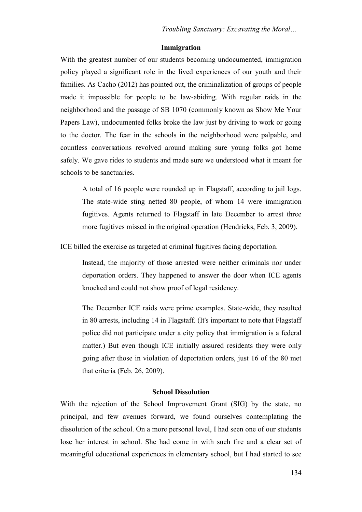## **Immigration**

With the greatest number of our students becoming undocumented, immigration policy played a significant role in the lived experiences of our youth and their families. As Cacho (2012) has pointed out, the criminalization of groups of people made it impossible for people to be law-abiding. With regular raids in the neighborhood and the passage of SB 1070 (commonly known as Show Me Your Papers Law), undocumented folks broke the law just by driving to work or going to the doctor. The fear in the schools in the neighborhood were palpable, and countless conversations revolved around making sure young folks got home safely. We gave rides to students and made sure we understood what it meant for schools to be sanctuaries.

A total of 16 people were rounded up in Flagstaff, according to jail logs. The state-wide sting netted 80 people, of whom 14 were immigration fugitives. Agents returned to Flagstaff in late December to arrest three more fugitives missed in the original operation (Hendricks, Feb. 3, 2009).

ICE billed the exercise as targeted at criminal fugitives facing deportation.

Instead, the majority of those arrested were neither criminals nor under deportation orders. They happened to answer the door when ICE agents knocked and could not show proof of legal residency.

The December ICE raids were prime examples. State-wide, they resulted in 80 arrests, including 14 in Flagstaff. (It's important to note that Flagstaff police did not participate under a city policy that immigration is a federal matter.) But even though ICE initially assured residents they were only going after those in violation of deportation orders, just 16 of the 80 met that criteria (Feb. 26, 2009).

## **School Dissolution**

With the rejection of the School Improvement Grant (SIG) by the state, no principal, and few avenues forward, we found ourselves contemplating the dissolution of the school. On a more personal level, I had seen one of our students lose her interest in school. She had come in with such fire and a clear set of meaningful educational experiences in elementary school, but I had started to see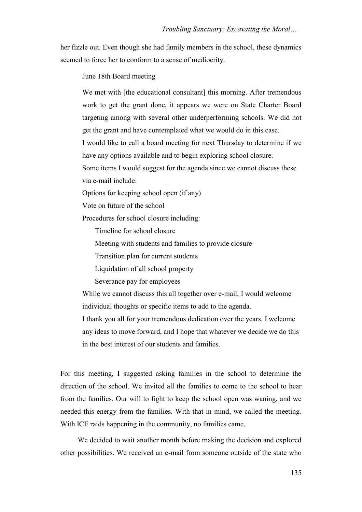her fizzle out. Even though she had family members in the school, these dynamics seemed to force her to conform to a sense of mediocrity.

June 18th Board meeting

We met with [the educational consultant] this morning. After tremendous work to get the grant done, it appears we were on State Charter Board targeting among with several other underperforming schools. We did not get the grant and have contemplated what we would do in this case.

I would like to call a board meeting for next Thursday to determine if we have any options available and to begin exploring school closure.

Some items I would suggest for the agenda since we cannot discuss these via e-mail include:

Options for keeping school open (if any)

Vote on future of the school

Procedures for school closure including:

Timeline for school closure

Meeting with students and families to provide closure

Transition plan for current students

Liquidation of all school property

Severance pay for employees

While we cannot discuss this all together over e-mail, I would welcome individual thoughts or specific items to add to the agenda.

I thank you all for your tremendous dedication over the years. I welcome any ideas to move forward, and I hope that whatever we decide we do this in the best interest of our students and families.

For this meeting, I suggested asking families in the school to determine the direction of the school. We invited all the families to come to the school to hear from the families. Our will to fight to keep the school open was waning, and we needed this energy from the families. With that in mind, we called the meeting. With ICE raids happening in the community, no families came.

We decided to wait another month before making the decision and explored other possibilities. We received an e-mail from someone outside of the state who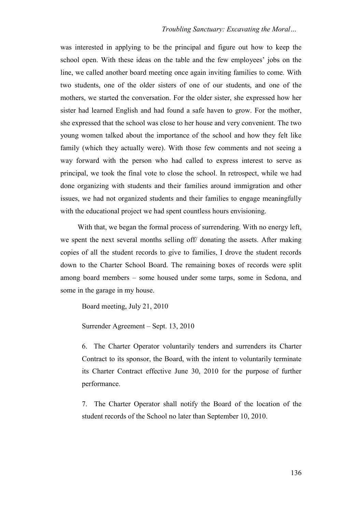was interested in applying to be the principal and figure out how to keep the school open. With these ideas on the table and the few employees' jobs on the line, we called another board meeting once again inviting families to come. With two students, one of the older sisters of one of our students, and one of the mothers, we started the conversation. For the older sister, she expressed how her sister had learned English and had found a safe haven to grow. For the mother, she expressed that the school was close to her house and very convenient. The two young women talked about the importance of the school and how they felt like family (which they actually were). With those few comments and not seeing a way forward with the person who had called to express interest to serve as principal, we took the final vote to close the school. In retrospect, while we had done organizing with students and their families around immigration and other issues, we had not organized students and their families to engage meaningfully with the educational project we had spent countless hours envisioning.

With that, we began the formal process of surrendering. With no energy left, we spent the next several months selling off/ donating the assets. After making copies of all the student records to give to families, I drove the student records down to the Charter School Board. The remaining boxes of records were split among board members – some housed under some tarps, some in Sedona, and some in the garage in my house.

Board meeting, July 21, 2010

Surrender Agreement – Sept. 13, 2010

6. The Charter Operator voluntarily tenders and surrenders its Charter Contract to its sponsor, the Board, with the intent to voluntarily terminate its Charter Contract effective June 30, 2010 for the purpose of further performance.

7. The Charter Operator shall notify the Board of the location of the student records of the School no later than September 10, 2010.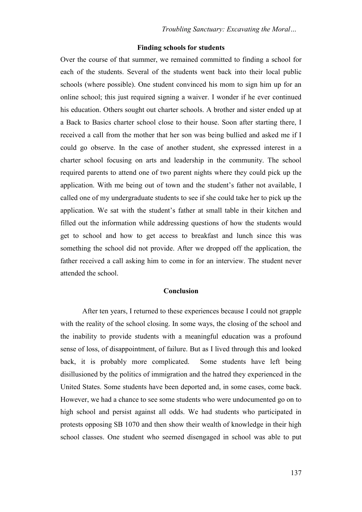#### **Finding schools for students**

Over the course of that summer, we remained committed to finding a school for each of the students. Several of the students went back into their local public schools (where possible). One student convinced his mom to sign him up for an online school; this just required signing a waiver. I wonder if he ever continued his education. Others sought out charter schools. A brother and sister ended up at a Back to Basics charter school close to their house. Soon after starting there, I received a call from the mother that her son was being bullied and asked me if I could go observe. In the case of another student, she expressed interest in a charter school focusing on arts and leadership in the community. The school required parents to attend one of two parent nights where they could pick up the application. With me being out of town and the student's father not available, I called one of my undergraduate students to see if she could take her to pick up the application. We sat with the student's father at small table in their kitchen and filled out the information while addressing questions of how the students would get to school and how to get access to breakfast and lunch since this was something the school did not provide. After we dropped off the application, the father received a call asking him to come in for an interview. The student never attended the school.

## **Conclusion**

After ten years, I returned to these experiences because I could not grapple with the reality of the school closing. In some ways, the closing of the school and the inability to provide students with a meaningful education was a profound sense of loss, of disappointment, of failure. But as I lived through this and looked back, it is probably more complicated. Some students have left being disillusioned by the politics of immigration and the hatred they experienced in the United States. Some students have been deported and, in some cases, come back. However, we had a chance to see some students who were undocumented go on to high school and persist against all odds. We had students who participated in protests opposing SB 1070 and then show their wealth of knowledge in their high school classes. One student who seemed disengaged in school was able to put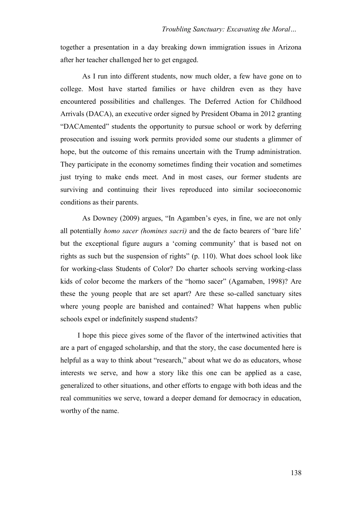together a presentation in a day breaking down immigration issues in Arizona after her teacher challenged her to get engaged.

As I run into different students, now much older, a few have gone on to college. Most have started families or have children even as they have encountered possibilities and challenges. The Deferred Action for Childhood Arrivals (DACA), an executive order signed by President Obama in 2012 granting ―DACAmented‖ students the opportunity to pursue school or work by deferring prosecution and issuing work permits provided some our students a glimmer of hope, but the outcome of this remains uncertain with the Trump administration. They participate in the economy sometimes finding their vocation and sometimes just trying to make ends meet. And in most cases, our former students are surviving and continuing their lives reproduced into similar socioeconomic conditions as their parents.

As Downey (2009) argues, "In Agamben's eyes, in fine, we are not only all potentially *homo sacer (homines sacri)* and the de facto bearers of 'bare life' but the exceptional figure augurs a 'coming community' that is based not on rights as such but the suspension of rights"  $(p. 110)$ . What does school look like for working-class Students of Color? Do charter schools serving working-class kids of color become the markers of the "homo sacer" (Agamaben, 1998)? Are these the young people that are set apart? Are these so-called sanctuary sites where young people are banished and contained? What happens when public schools expel or indefinitely suspend students?

I hope this piece gives some of the flavor of the intertwined activities that are a part of engaged scholarship, and that the story, the case documented here is helpful as a way to think about "research," about what we do as educators, whose interests we serve, and how a story like this one can be applied as a case, generalized to other situations, and other efforts to engage with both ideas and the real communities we serve, toward a deeper demand for democracy in education, worthy of the name.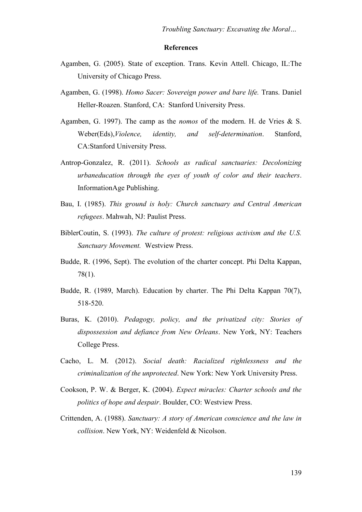#### **References**

- Agamben, G. (2005). State of exception. Trans. Kevin Attell. Chicago, IL:The University of Chicago Press.
- Agamben, G. (1998). *Homo Sacer: Sovereign power and bare life.* Trans. Daniel Heller-Roazen. Stanford, CA: Stanford University Press.
- Agamben, G. 1997). The camp as the *nomos* of the modern. H. de Vries & S. Weber(Eds),*Violence, identity, and self-determination*. Stanford, CA:Stanford University Press.
- Antrop-Gonzalez, R. (2011). *Schools as radical sanctuaries: Decolonizing urbaneducation through the eyes of youth of color and their teachers*. InformationAge Publishing.
- Bau, I. (1985). *This ground is holy: Church sanctuary and Central American refugees*. Mahwah, NJ: Paulist Press.
- BiblerCoutin, S. (1993). *The culture of protest: religious activism and the U.S. Sanctuary Movement.* Westview Press.
- Budde, R. (1996, Sept). The evolution of the charter concept. Phi Delta Kappan, 78(1).
- Budde, R. (1989, March). Education by charter. The Phi Delta Kappan 70(7), 518-520.
- Buras, K. (2010). *Pedagogy, policy, and the privatized city: Stories of dispossession and defiance from New Orleans*. New York, NY: Teachers College Press.
- Cacho, L. M. (2012). *Social death: Racialized rightlessness and the criminalization of the unprotected*. New York: New York University Press.
- Cookson, P. W. & Berger, K. (2004). *Expect miracles: Charter schools and the politics of hope and despair*. Boulder, CO: Westview Press.
- Crittenden, A. (1988). *Sanctuary: A story of American conscience and the law in collision*. New York, NY: Weidenfeld & Nicolson.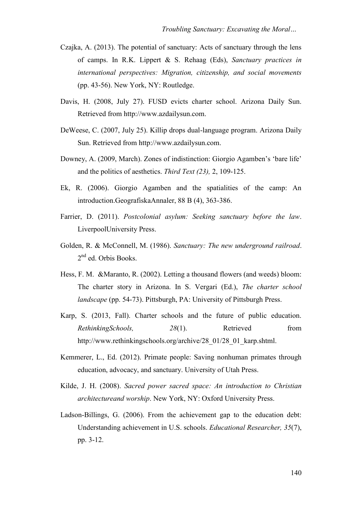- Czajka, A. (2013). The potential of sanctuary: Acts of sanctuary through the lens of camps. In R.K. Lippert & S. Rehaag (Eds), *Sanctuary practices in international perspectives: Migration, citizenship, and social movements* (pp. 43-56). New York, NY: Routledge.
- Davis, H. (2008, July 27). FUSD evicts charter school. Arizona Daily Sun. Retrieved from [http://www.azdailysun.com.](http://www.azdailysun.com/)
- DeWeese, C. (2007, July 25). Killip drops dual-language program. Arizona Daily Sun. Retrieved from [http://www.azdailysun.com.](http://www.azdailysun.com/)
- Downey, A. (2009, March). Zones of indistinction: Giorgio Agamben's 'bare life' and the politics of aesthetics. *Third Text (23),* 2, 109-125.
- Ek, R. (2006). Giorgio Agamben and the spatialities of the camp: An introduction.GeografiskaAnnaler, 88 B (4), 363-386.
- Farrier, D. (2011). *Postcolonial asylum: Seeking sanctuary before the law*. LiverpoolUniversity Press.
- Golden, R. & McConnell, M. (1986). *Sanctuary: The new underground railroad*. 2<sup>nd</sup> ed. Orbis Books.
- Hess, F. M. &Maranto, R. (2002). Letting a thousand flowers (and weeds) bloom: The charter story in Arizona. In S. Vergari (Ed.), *The charter school landscape* (pp. 54-73). Pittsburgh, PA: University of Pittsburgh Press.
- Karp, S. (2013, Fall). Charter schools and the future of public education. *RethinkingSchools,* 28(1). Retrieved from [http://www.rethinkingschools.org/a](http://www.rethinkingschools.org/)rchive/28\_01/28\_01\_karp.shtml.
- Kemmerer, L., Ed. (2012). Primate people: Saving nonhuman primates through education, advocacy, and sanctuary. University of Utah Press.
- Kilde, J. H. (2008). *Sacred power sacred space: An introduction to Christian architectureand worship*. New York, NY: Oxford University Press.
- Ladson-Billings, G. (2006). From the achievement gap to the education debt: Understanding achievement in U.S. schools. *Educational Researcher, 35*(7), pp. 3-12.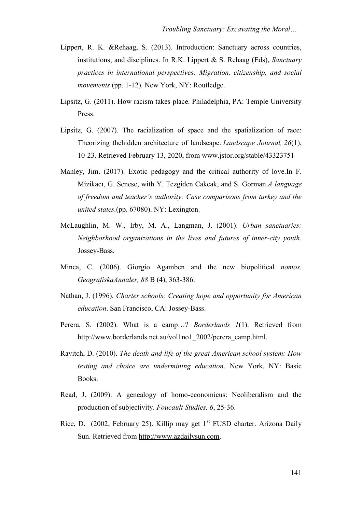- Lippert, R. K. &Rehaag, S. (2013). Introduction: Sanctuary across countries, institutions, and disciplines. In R.K. Lippert & S. Rehaag (Eds), *Sanctuary practices in international perspectives: Migration, citizenship, and social movements* (pp. 1-12). New York, NY: Routledge.
- Lipsitz, G. (2011). How racism takes place. Philadelphia, PA: Temple University Press.
- Lipsitz, G. (2007). The racialization of space and the spatialization of race: Theorizing thehidden architecture of landscape. *Landscape Journal, 26*(1), 10-23. Retrieved February 13, 2020, from [www.jstor.org/stable/43323751](http://www.jstor.org/stable/43323751)
- Manley, Jim. (2017). Exotic pedagogy and the critical authority of love.In F. Mizikacı, G. Senese, with Y. Tezgiden Cakcak, and S. Gorman.*A language of freedom and teacher's authority: Case comparisons from turkey and the united states.*(pp. 67080). NY: Lexington.
- McLaughlin, M. W., Irby, M. A., Langman, J. (2001). *Urban sanctuaries: Neighborhood organizations in the lives and futures of inner-city youth*. Jossey-Bass.
- Minca, C. (2006). Giorgio Agamben and the new biopolitical *nomos. GeografiskaAnnaler, 88* B (4), 363-386.
- Nathan, J. (1996). *Charter schools: Creating hope and opportunity for American education*. San Francisco, CA: Jossey-Bass.
- Perera, S. (2002). What is a camp…? *Borderlands 1*(1). Retrieved from http://www.borderlands.net.au/vol1no1\_2002/perera\_camp.html.
- Ravitch, D. (2010). *The death and life of the great American school system: How testing and choice are undermining education*. New York, NY: Basic Books.
- Read, J. (2009). A genealogy of homo-economicus: Neoliberalism and the production of subjectivity. *Foucault Studies, 6*, 25-36.
- Rice, D. (2002, February 25). Killip may get 1<sup>st</sup> FUSD charter. Arizona Daily Sun. Retrieved from [http://www.azdailysun.com.](http://www.azdailysun.com/)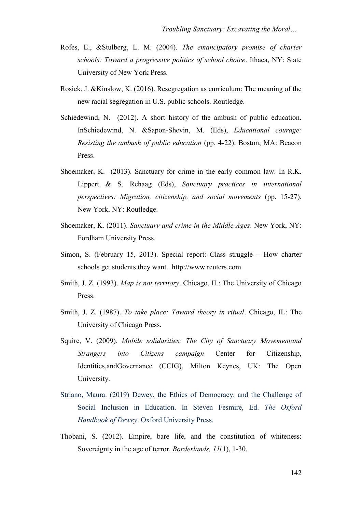- Rofes, E., &Stulberg, L. M. (2004). *The emancipatory promise of charter schools: Toward a progressive politics of school choice*. Ithaca, NY: State University of New York Press.
- Rosiek, J. &Kinslow, K. (2016). Resegregation as curriculum: The meaning of the new racial segregation in U.S. public schools. Routledge.
- Schiedewind, N. (2012). A short history of the ambush of public education. InSchiedewind, N. &Sapon-Shevin, M. (Eds), *Educational courage: Resisting the ambush of public education* (pp. 4-22). Boston, MA: Beacon Press.
- Shoemaker, K. (2013). Sanctuary for crime in the early common law. In R.K. Lippert & S. Rehaag (Eds), *Sanctuary practices in international perspectives: Migration, citizenship, and social movements* (pp. 15-27). New York, NY: Routledge.
- Shoemaker, K. (2011). *Sanctuary and crime in the Middle Ages*. New York, NY: Fordham University Press.
- Simon, S. (February 15, 2013). Special report: Class struggle How charter schools get students they want. http://www.reuters.com
- Smith, J. Z. (1993). *Map is not territory*. Chicago, IL: The University of Chicago Press.
- Smith, J. Z. (1987). *To take place: Toward theory in ritual*. Chicago, IL: The University of Chicago Press.
- Squire, V. (2009). *Mobile solidarities: The City of Sanctuary Movementand Strangers into Citizens campaign* Center for Citizenship, Identities,andGovernance (CCIG), Milton Keynes, UK: The Open University.
- Striano, Maura. (2019) Dewey, the Ethics of Democracy, and the Challenge of Social Inclusion in Education. In Steven Fesmire, Ed. *The Oxford Handbook of Dewey*. Oxford University Press.
- Thobani, S. (2012). Empire, bare life, and the constitution of whiteness: Sovereignty in the age of terror. *Borderlands, 11*(1), 1-30.